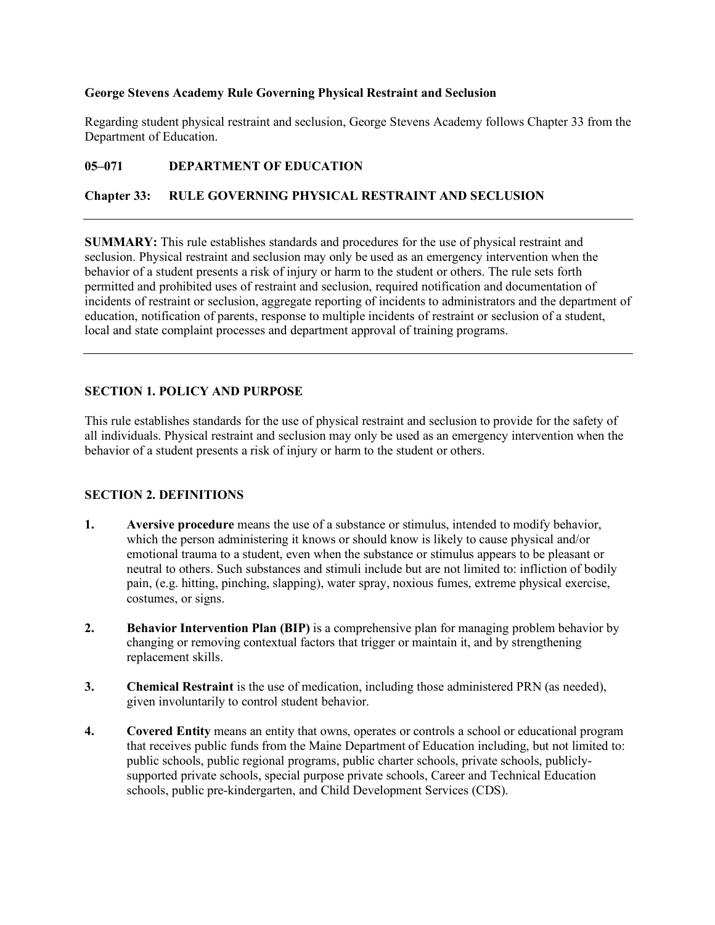# **George Stevens Academy Rule Governing Physical Restraint and Seclusion**

Regarding student physical restraint and seclusion, George Stevens Academy follows Chapter 33 from the Department of Education.

# **05–071 DEPARTMENT OF EDUCATION**

# **Chapter 33: RULE GOVERNING PHYSICAL RESTRAINT AND SECLUSION**

**SUMMARY:** This rule establishes standards and procedures for the use of physical restraint and seclusion. Physical restraint and seclusion may only be used as an emergency intervention when the behavior of a student presents a risk of injury or harm to the student or others. The rule sets forth permitted and prohibited uses of restraint and seclusion, required notification and documentation of incidents of restraint or seclusion, aggregate reporting of incidents to administrators and the department of education, notification of parents, response to multiple incidents of restraint or seclusion of a student, local and state complaint processes and department approval of training programs.

# **SECTION 1. POLICY AND PURPOSE**

This rule establishes standards for the use of physical restraint and seclusion to provide for the safety of all individuals. Physical restraint and seclusion may only be used as an emergency intervention when the behavior of a student presents a risk of injury or harm to the student or others.

# **SECTION 2. DEFINITIONS**

- **1. Aversive procedure** means the use of a substance or stimulus, intended to modify behavior, which the person administering it knows or should know is likely to cause physical and/or emotional trauma to a student, even when the substance or stimulus appears to be pleasant or neutral to others. Such substances and stimuli include but are not limited to: infliction of bodily pain, (e.g. hitting, pinching, slapping), water spray, noxious fumes, extreme physical exercise, costumes, or signs.
- **2. Behavior Intervention Plan (BIP)** is a comprehensive plan for managing problem behavior by changing or removing contextual factors that trigger or maintain it, and by strengthening replacement skills.
- **3. Chemical Restraint** is the use of medication, including those administered PRN (as needed), given involuntarily to control student behavior.
- **4. Covered Entity** means an entity that owns, operates or controls a school or educational program that receives public funds from the Maine Department of Education including, but not limited to: public schools, public regional programs, public charter schools, private schools, publiclysupported private schools, special purpose private schools, Career and Technical Education schools, public pre-kindergarten, and Child Development Services (CDS).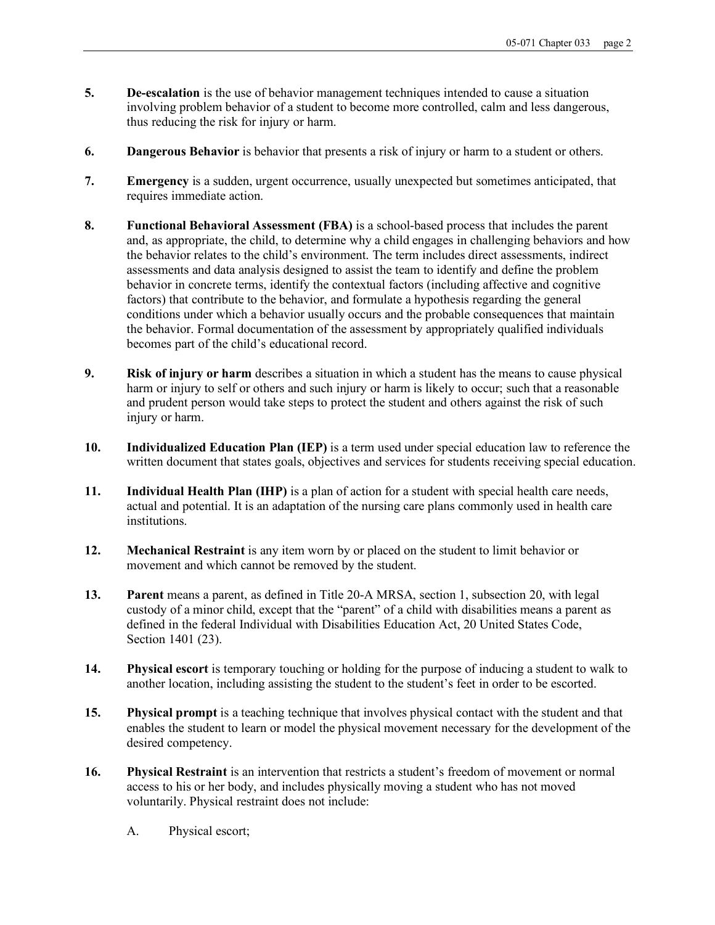- **5. De-escalation** is the use of behavior management techniques intended to cause a situation involving problem behavior of a student to become more controlled, calm and less dangerous, thus reducing the risk for injury or harm.
- **6. Dangerous Behavior** is behavior that presents a risk of injury or harm to a student or others.
- **7. Emergency** is a sudden, urgent occurrence, usually unexpected but sometimes anticipated, that requires immediate action.
- **8. Functional Behavioral Assessment (FBA)** is a school-based process that includes the parent and, as appropriate, the child, to determine why a child engages in challenging behaviors and how the behavior relates to the child's environment. The term includes direct assessments, indirect assessments and data analysis designed to assist the team to identify and define the problem behavior in concrete terms, identify the contextual factors (including affective and cognitive factors) that contribute to the behavior, and formulate a hypothesis regarding the general conditions under which a behavior usually occurs and the probable consequences that maintain the behavior. Formal documentation of the assessment by appropriately qualified individuals becomes part of the child's educational record.
- **9. Risk of injury or harm** describes a situation in which a student has the means to cause physical harm or injury to self or others and such injury or harm is likely to occur; such that a reasonable and prudent person would take steps to protect the student and others against the risk of such injury or harm.
- **10. Individualized Education Plan (IEP)** is a term used under special education law to reference the written document that states goals, objectives and services for students receiving special education.
- **11. Individual Health Plan (IHP)** is a plan of action for a student with special health care needs, actual and potential. It is an adaptation of the nursing care plans commonly used in health care institutions.
- **12. Mechanical Restraint** is any item worn by or placed on the student to limit behavior or movement and which cannot be removed by the student.
- **13. Parent** means a parent, as defined in Title 20-A MRSA, section 1, subsection 20, with legal custody of a minor child, except that the "parent" of a child with disabilities means a parent as defined in the federal Individual with Disabilities Education Act, 20 United States Code, Section 1401 (23).
- **14. Physical escort** is temporary touching or holding for the purpose of inducing a student to walk to another location, including assisting the student to the student's feet in order to be escorted.
- **15. Physical prompt** is a teaching technique that involves physical contact with the student and that enables the student to learn or model the physical movement necessary for the development of the desired competency.
- **16. Physical Restraint** is an intervention that restricts a student's freedom of movement or normal access to his or her body, and includes physically moving a student who has not moved voluntarily. Physical restraint does not include:
	- A. Physical escort;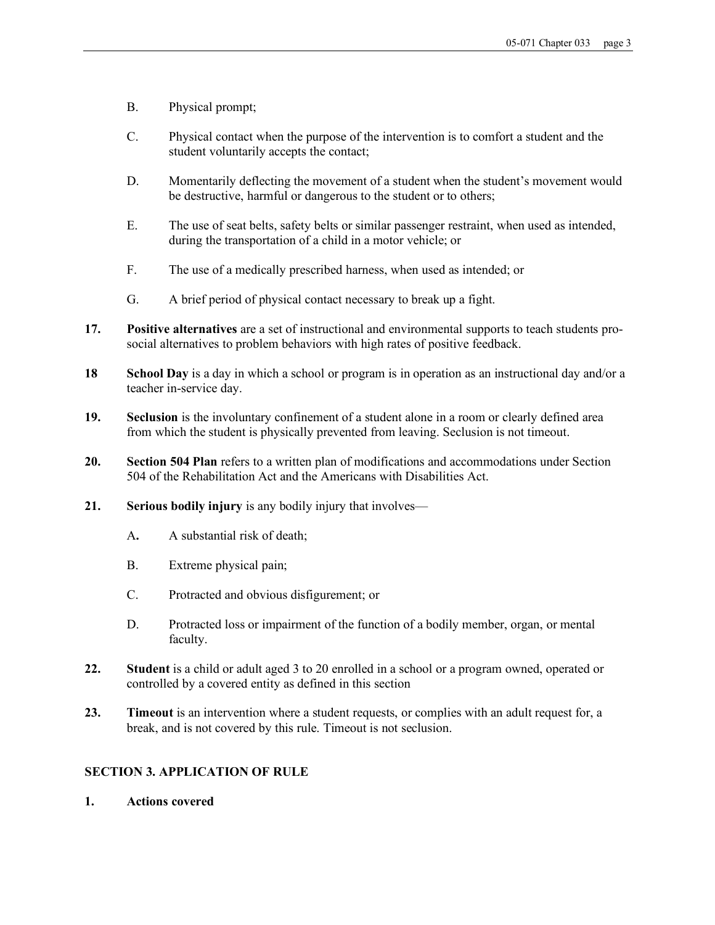- B. Physical prompt;
- C. Physical contact when the purpose of the intervention is to comfort a student and the student voluntarily accepts the contact;
- D. Momentarily deflecting the movement of a student when the student's movement would be destructive, harmful or dangerous to the student or to others;
- E. The use of seat belts, safety belts or similar passenger restraint, when used as intended, during the transportation of a child in a motor vehicle; or
- F. The use of a medically prescribed harness, when used as intended; or
- G. A brief period of physical contact necessary to break up a fight.
- **17. Positive alternatives** are a set of instructional and environmental supports to teach students prosocial alternatives to problem behaviors with high rates of positive feedback.
- **18 School Day** is a day in which a school or program is in operation as an instructional day and/or a teacher in-service day.
- **19. Seclusion** is the involuntary confinement of a student alone in a room or clearly defined area from which the student is physically prevented from leaving. Seclusion is not timeout.
- **20. Section 504 Plan** refers to a written plan of modifications and accommodations under Section 504 of the Rehabilitation Act and the Americans with Disabilities Act.
- **21. Serious bodily injury** is any bodily injury that involves—
	- A**.** A substantial risk of death;
	- B. Extreme physical pain;
	- C. Protracted and obvious disfigurement; or
	- D. Protracted loss or impairment of the function of a bodily member, organ, or mental faculty.
- **22. Student** is a child or adult aged 3 to 20 enrolled in a school or a program owned, operated or controlled by a covered entity as defined in this section
- **23. Timeout** is an intervention where a student requests, or complies with an adult request for, a break, and is not covered by this rule. Timeout is not seclusion.

# **SECTION 3. APPLICATION OF RULE**

**1. Actions covered**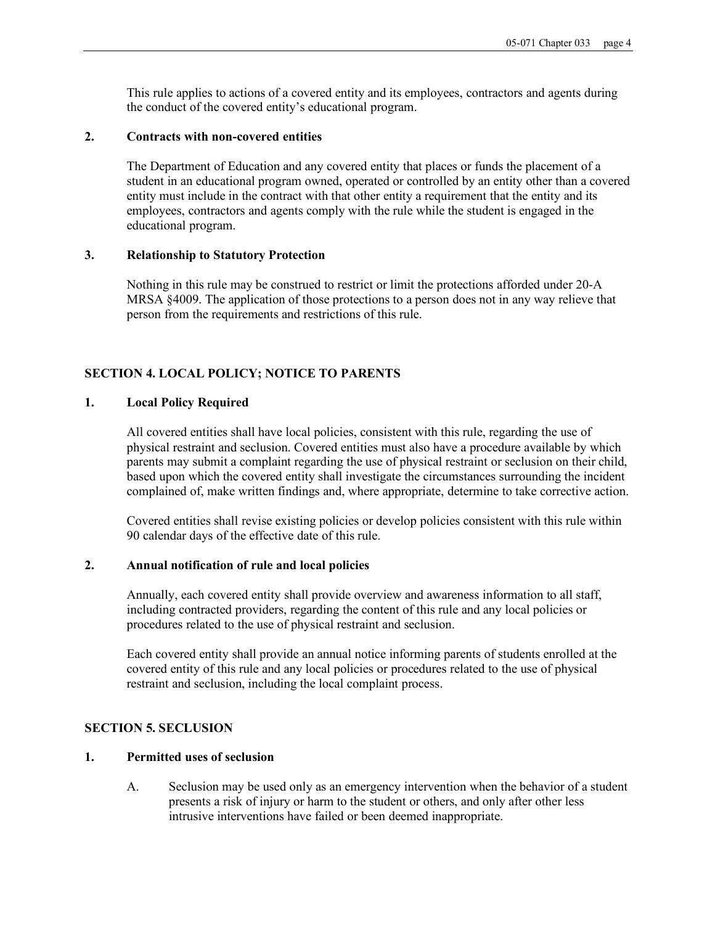This rule applies to actions of a covered entity and its employees, contractors and agents during the conduct of the covered entity's educational program.

#### **2. Contracts with non-covered entities**

The Department of Education and any covered entity that places or funds the placement of a student in an educational program owned, operated or controlled by an entity other than a covered entity must include in the contract with that other entity a requirement that the entity and its employees, contractors and agents comply with the rule while the student is engaged in the educational program.

#### **3. Relationship to Statutory Protection**

Nothing in this rule may be construed to restrict or limit the protections afforded under 20-A MRSA §4009. The application of those protections to a person does not in any way relieve that person from the requirements and restrictions of this rule.

## **SECTION 4. LOCAL POLICY; NOTICE TO PARENTS**

#### **1. Local Policy Required**

All covered entities shall have local policies, consistent with this rule, regarding the use of physical restraint and seclusion. Covered entities must also have a procedure available by which parents may submit a complaint regarding the use of physical restraint or seclusion on their child, based upon which the covered entity shall investigate the circumstances surrounding the incident complained of, make written findings and, where appropriate, determine to take corrective action.

Covered entities shall revise existing policies or develop policies consistent with this rule within 90 calendar days of the effective date of this rule.

# **2. Annual notification of rule and local policies**

Annually, each covered entity shall provide overview and awareness information to all staff, including contracted providers, regarding the content of this rule and any local policies or procedures related to the use of physical restraint and seclusion.

Each covered entity shall provide an annual notice informing parents of students enrolled at the covered entity of this rule and any local policies or procedures related to the use of physical restraint and seclusion, including the local complaint process.

#### **SECTION 5. SECLUSION**

#### **1. Permitted uses of seclusion**

A. Seclusion may be used only as an emergency intervention when the behavior of a student presents a risk of injury or harm to the student or others, and only after other less intrusive interventions have failed or been deemed inappropriate.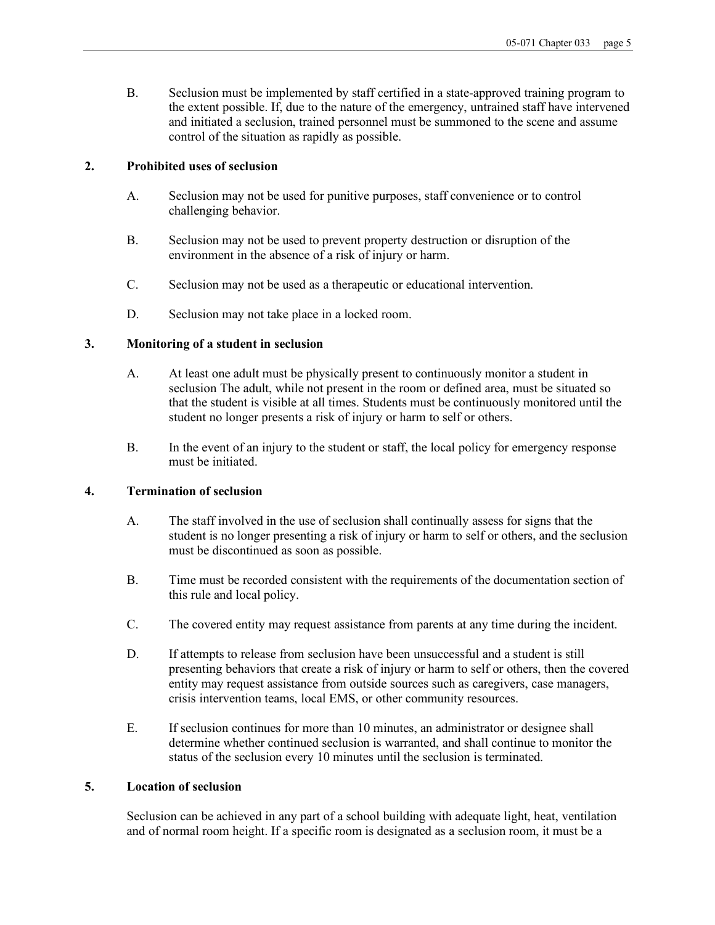B. Seclusion must be implemented by staff certified in a state-approved training program to the extent possible. If, due to the nature of the emergency, untrained staff have intervened and initiated a seclusion, trained personnel must be summoned to the scene and assume control of the situation as rapidly as possible.

## **2. Prohibited uses of seclusion**

- A. Seclusion may not be used for punitive purposes, staff convenience or to control challenging behavior.
- B. Seclusion may not be used to prevent property destruction or disruption of the environment in the absence of a risk of injury or harm.
- C. Seclusion may not be used as a therapeutic or educational intervention.
- D. Seclusion may not take place in a locked room.

# **3. Monitoring of a student in seclusion**

- A. At least one adult must be physically present to continuously monitor a student in seclusion The adult, while not present in the room or defined area, must be situated so that the student is visible at all times. Students must be continuously monitored until the student no longer presents a risk of injury or harm to self or others.
- B. In the event of an injury to the student or staff, the local policy for emergency response must be initiated.

## **4. Termination of seclusion**

- A. The staff involved in the use of seclusion shall continually assess for signs that the student is no longer presenting a risk of injury or harm to self or others, and the seclusion must be discontinued as soon as possible.
- B. Time must be recorded consistent with the requirements of the documentation section of this rule and local policy.
- C. The covered entity may request assistance from parents at any time during the incident.
- D. If attempts to release from seclusion have been unsuccessful and a student is still presenting behaviors that create a risk of injury or harm to self or others, then the covered entity may request assistance from outside sources such as caregivers, case managers, crisis intervention teams, local EMS, or other community resources.
- E. If seclusion continues for more than 10 minutes, an administrator or designee shall determine whether continued seclusion is warranted, and shall continue to monitor the status of the seclusion every 10 minutes until the seclusion is terminated.

# **5. Location of seclusion**

Seclusion can be achieved in any part of a school building with adequate light, heat, ventilation and of normal room height. If a specific room is designated as a seclusion room, it must be a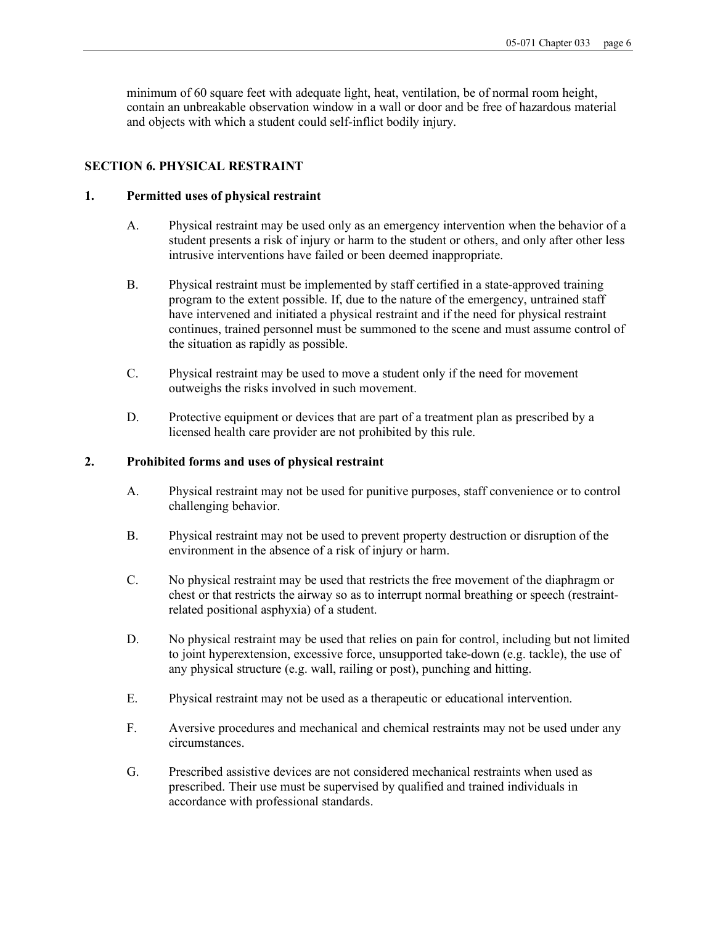minimum of 60 square feet with adequate light, heat, ventilation, be of normal room height, contain an unbreakable observation window in a wall or door and be free of hazardous material and objects with which a student could self-inflict bodily injury.

# **SECTION 6. PHYSICAL RESTRAINT**

## **1. Permitted uses of physical restraint**

- A. Physical restraint may be used only as an emergency intervention when the behavior of a student presents a risk of injury or harm to the student or others, and only after other less intrusive interventions have failed or been deemed inappropriate.
- B. Physical restraint must be implemented by staff certified in a state-approved training program to the extent possible. If, due to the nature of the emergency, untrained staff have intervened and initiated a physical restraint and if the need for physical restraint continues, trained personnel must be summoned to the scene and must assume control of the situation as rapidly as possible.
- C. Physical restraint may be used to move a student only if the need for movement outweighs the risks involved in such movement.
- D. Protective equipment or devices that are part of a treatment plan as prescribed by a licensed health care provider are not prohibited by this rule.

## **2. Prohibited forms and uses of physical restraint**

- A. Physical restraint may not be used for punitive purposes, staff convenience or to control challenging behavior.
- B. Physical restraint may not be used to prevent property destruction or disruption of the environment in the absence of a risk of injury or harm.
- C. No physical restraint may be used that restricts the free movement of the diaphragm or chest or that restricts the airway so as to interrupt normal breathing or speech (restraintrelated positional asphyxia) of a student.
- D. No physical restraint may be used that relies on pain for control, including but not limited to joint hyperextension, excessive force, unsupported take-down (e.g. tackle), the use of any physical structure (e.g. wall, railing or post), punching and hitting.
- E. Physical restraint may not be used as a therapeutic or educational intervention.
- F. Aversive procedures and mechanical and chemical restraints may not be used under any circumstances.
- G. Prescribed assistive devices are not considered mechanical restraints when used as prescribed. Their use must be supervised by qualified and trained individuals in accordance with professional standards.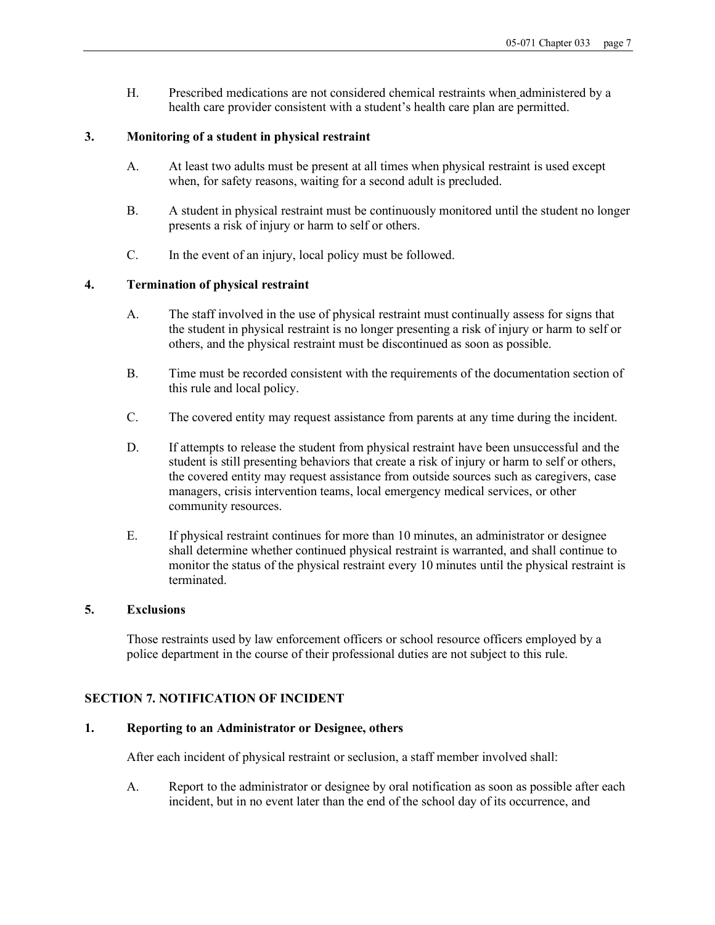H. Prescribed medications are not considered chemical restraints when administered by a health care provider consistent with a student's health care plan are permitted.

# **3. Monitoring of a student in physical restraint**

- A. At least two adults must be present at all times when physical restraint is used except when, for safety reasons, waiting for a second adult is precluded.
- B. A student in physical restraint must be continuously monitored until the student no longer presents a risk of injury or harm to self or others.
- C. In the event of an injury, local policy must be followed.

# **4. Termination of physical restraint**

- A. The staff involved in the use of physical restraint must continually assess for signs that the student in physical restraint is no longer presenting a risk of injury or harm to self or others, and the physical restraint must be discontinued as soon as possible.
- B. Time must be recorded consistent with the requirements of the documentation section of this rule and local policy.
- C. The covered entity may request assistance from parents at any time during the incident.
- D. If attempts to release the student from physical restraint have been unsuccessful and the student is still presenting behaviors that create a risk of injury or harm to self or others, the covered entity may request assistance from outside sources such as caregivers, case managers, crisis intervention teams, local emergency medical services, or other community resources.
- E. If physical restraint continues for more than 10 minutes, an administrator or designee shall determine whether continued physical restraint is warranted, and shall continue to monitor the status of the physical restraint every 10 minutes until the physical restraint is terminated.

#### **5. Exclusions**

Those restraints used by law enforcement officers or school resource officers employed by a police department in the course of their professional duties are not subject to this rule.

#### **SECTION 7. NOTIFICATION OF INCIDENT**

#### **1. Reporting to an Administrator or Designee, others**

After each incident of physical restraint or seclusion, a staff member involved shall:

A. Report to the administrator or designee by oral notification as soon as possible after each incident, but in no event later than the end of the school day of its occurrence, and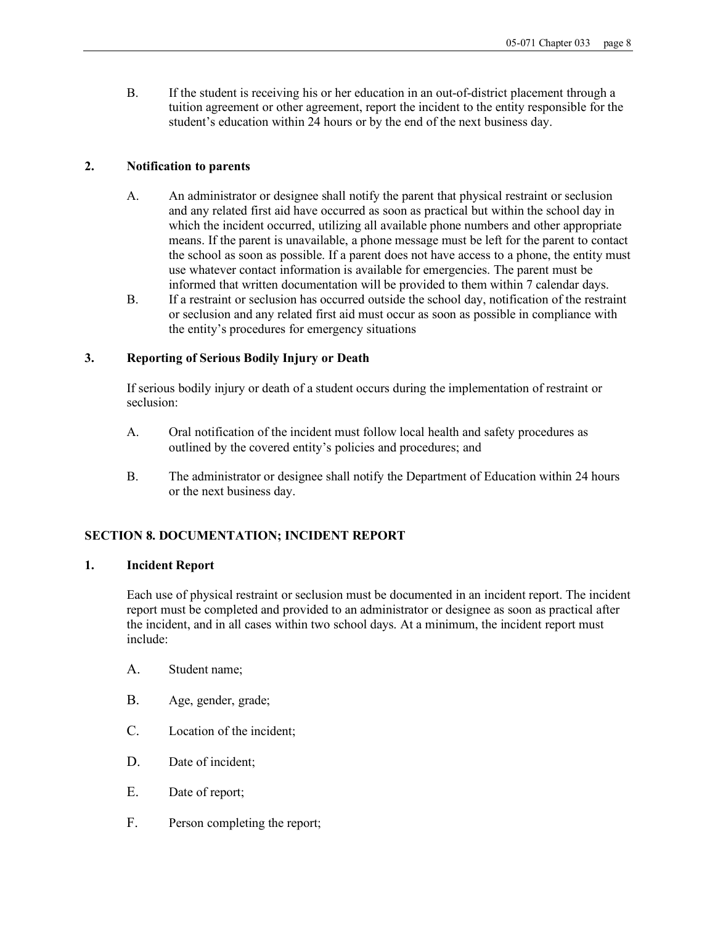B. If the student is receiving his or her education in an out-of-district placement through a tuition agreement or other agreement, report the incident to the entity responsible for the student's education within 24 hours or by the end of the next business day.

# **2. Notification to parents**

- A. An administrator or designee shall notify the parent that physical restraint or seclusion and any related first aid have occurred as soon as practical but within the school day in which the incident occurred, utilizing all available phone numbers and other appropriate means. If the parent is unavailable, a phone message must be left for the parent to contact the school as soon as possible. If a parent does not have access to a phone, the entity must use whatever contact information is available for emergencies. The parent must be informed that written documentation will be provided to them within 7 calendar days.
- B. If a restraint or seclusion has occurred outside the school day, notification of the restraint or seclusion and any related first aid must occur as soon as possible in compliance with the entity's procedures for emergency situations

#### **3. Reporting of Serious Bodily Injury or Death**

If serious bodily injury or death of a student occurs during the implementation of restraint or seclusion:

- A. Oral notification of the incident must follow local health and safety procedures as outlined by the covered entity's policies and procedures; and
- B. The administrator or designee shall notify the Department of Education within 24 hours or the next business day.

# **SECTION 8. DOCUMENTATION; INCIDENT REPORT**

#### **1. Incident Report**

Each use of physical restraint or seclusion must be documented in an incident report. The incident report must be completed and provided to an administrator or designee as soon as practical after the incident, and in all cases within two school days. At a minimum, the incident report must include:

- A. Student name;
- B. Age, gender, grade;
- C. Location of the incident;
- D. Date of incident;
- E. Date of report;
- F. Person completing the report;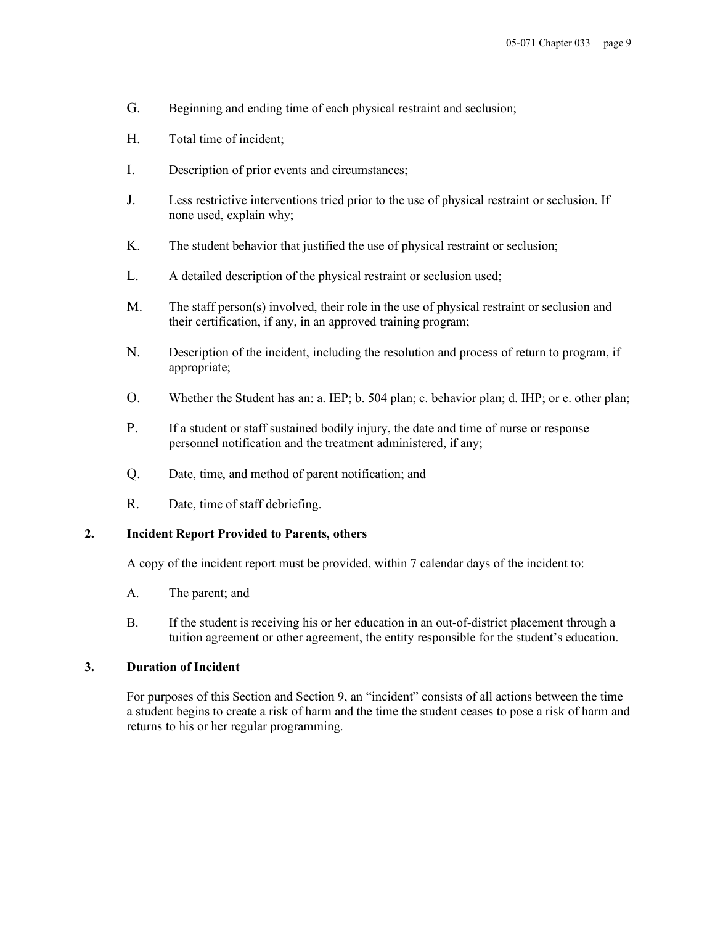- G. Beginning and ending time of each physical restraint and seclusion;
- H. Total time of incident;
- I. Description of prior events and circumstances;
- J. Less restrictive interventions tried prior to the use of physical restraint or seclusion. If none used, explain why;
- K. The student behavior that justified the use of physical restraint or seclusion;
- L. A detailed description of the physical restraint or seclusion used;
- M. The staff person(s) involved, their role in the use of physical restraint or seclusion and their certification, if any, in an approved training program;
- N. Description of the incident, including the resolution and process of return to program, if appropriate;
- O. Whether the Student has an: a. IEP; b. 504 plan; c. behavior plan; d. IHP; or e. other plan;
- P. If a student or staff sustained bodily injury, the date and time of nurse or response personnel notification and the treatment administered, if any;
- Q. Date, time, and method of parent notification; and
- R. Date, time of staff debriefing.

# **2. Incident Report Provided to Parents, others**

A copy of the incident report must be provided, within 7 calendar days of the incident to:

- A. The parent; and
- B. If the student is receiving his or her education in an out-of-district placement through a tuition agreement or other agreement, the entity responsible for the student's education.

# **3. Duration of Incident**

For purposes of this Section and Section 9, an "incident" consists of all actions between the time a student begins to create a risk of harm and the time the student ceases to pose a risk of harm and returns to his or her regular programming.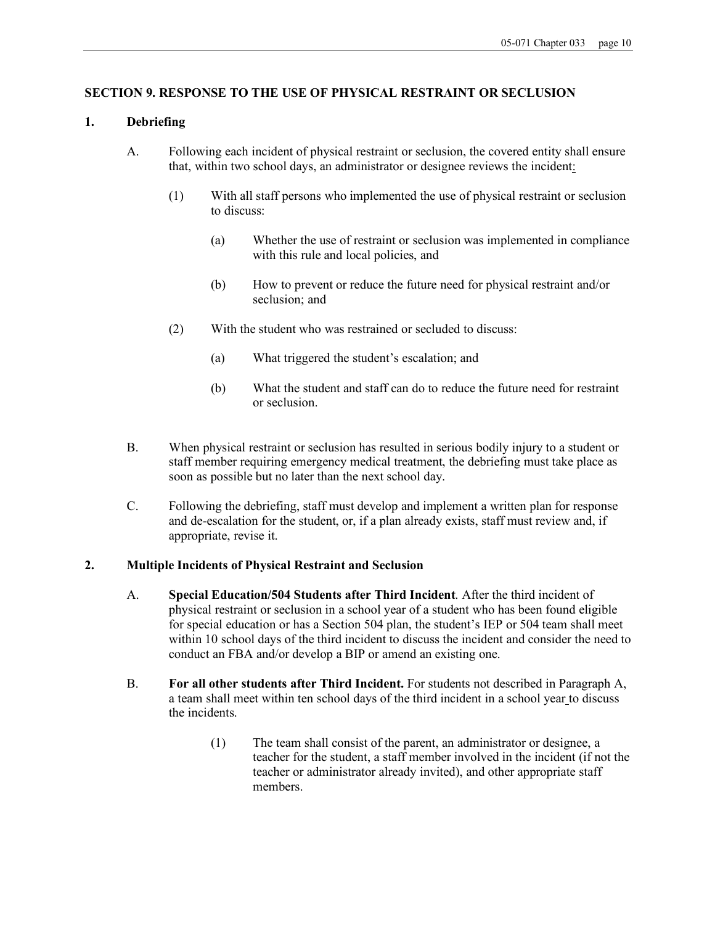# **SECTION 9. RESPONSE TO THE USE OF PHYSICAL RESTRAINT OR SECLUSION**

# **1. Debriefing**

- A. Following each incident of physical restraint or seclusion, the covered entity shall ensure that, within two school days, an administrator or designee reviews the incident:
	- (1) With all staff persons who implemented the use of physical restraint or seclusion to discuss:
		- (a) Whether the use of restraint or seclusion was implemented in compliance with this rule and local policies, and
		- (b) How to prevent or reduce the future need for physical restraint and/or seclusion; and
	- (2) With the student who was restrained or secluded to discuss:
		- (a) What triggered the student's escalation; and
		- (b) What the student and staff can do to reduce the future need for restraint or seclusion.
- B. When physical restraint or seclusion has resulted in serious bodily injury to a student or staff member requiring emergency medical treatment, the debriefing must take place as soon as possible but no later than the next school day.
- C. Following the debriefing, staff must develop and implement a written plan for response and de-escalation for the student, or, if a plan already exists, staff must review and, if appropriate, revise it.

# **2. Multiple Incidents of Physical Restraint and Seclusion**

- A. **Special Education/504 Students after Third Incident**. After the third incident of physical restraint or seclusion in a school year of a student who has been found eligible for special education or has a Section 504 plan, the student's IEP or 504 team shall meet within 10 school days of the third incident to discuss the incident and consider the need to conduct an FBA and/or develop a BIP or amend an existing one.
- B. **For all other students after Third Incident.** For students not described in Paragraph A, a team shall meet within ten school days of the third incident in a school year to discuss the incidents.
	- (1) The team shall consist of the parent, an administrator or designee, a teacher for the student, a staff member involved in the incident (if not the teacher or administrator already invited), and other appropriate staff members.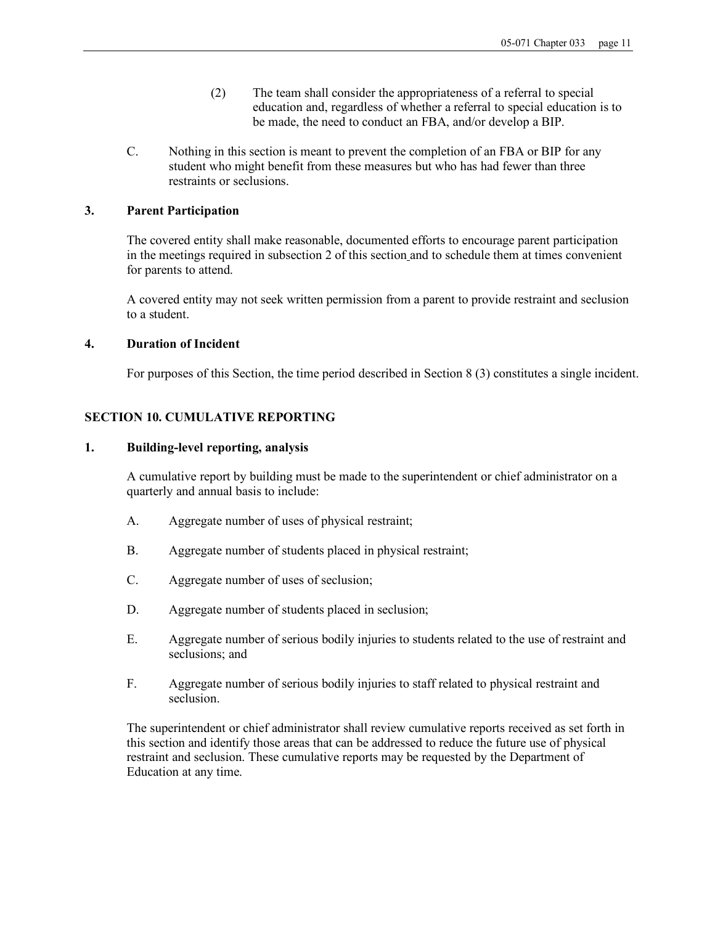- (2) The team shall consider the appropriateness of a referral to special education and, regardless of whether a referral to special education is to be made, the need to conduct an FBA, and/or develop a BIP.
- C. Nothing in this section is meant to prevent the completion of an FBA or BIP for any student who might benefit from these measures but who has had fewer than three restraints or seclusions.

#### **3. Parent Participation**

The covered entity shall make reasonable, documented efforts to encourage parent participation in the meetings required in subsection 2 of this section and to schedule them at times convenient for parents to attend.

A covered entity may not seek written permission from a parent to provide restraint and seclusion to a student.

#### **4. Duration of Incident**

For purposes of this Section, the time period described in Section 8 (3) constitutes a single incident.

# **SECTION 10. CUMULATIVE REPORTING**

#### **1. Building-level reporting, analysis**

A cumulative report by building must be made to the superintendent or chief administrator on a quarterly and annual basis to include:

- A. Aggregate number of uses of physical restraint;
- B. Aggregate number of students placed in physical restraint;
- C. Aggregate number of uses of seclusion;
- D. Aggregate number of students placed in seclusion;
- E. Aggregate number of serious bodily injuries to students related to the use of restraint and seclusions; and
- F. Aggregate number of serious bodily injuries to staff related to physical restraint and seclusion.

The superintendent or chief administrator shall review cumulative reports received as set forth in this section and identify those areas that can be addressed to reduce the future use of physical restraint and seclusion. These cumulative reports may be requested by the Department of Education at any time.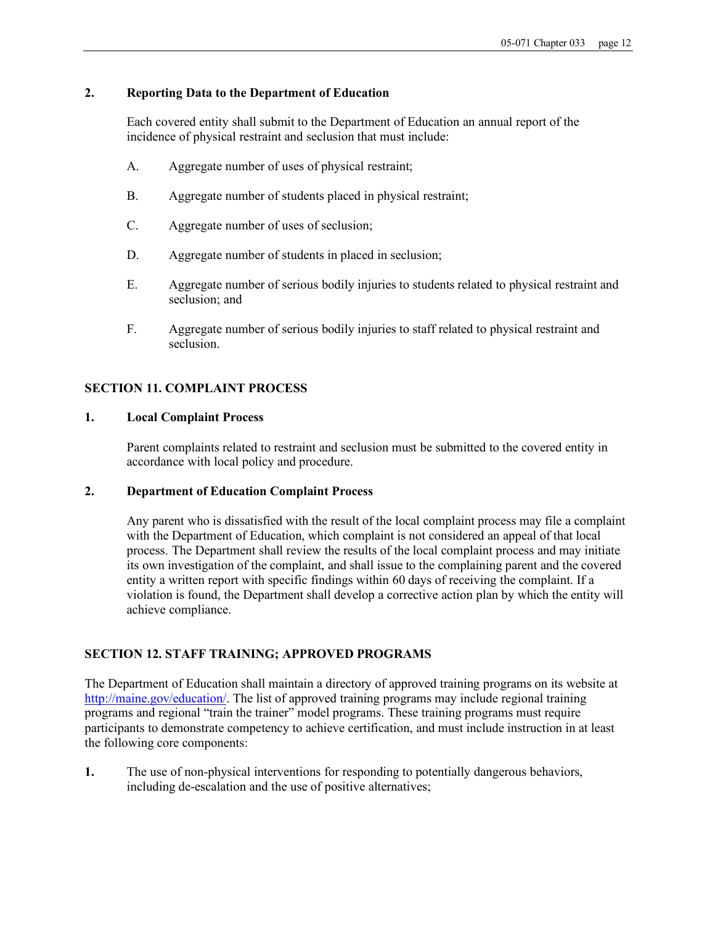# **2. Reporting Data to the Department of Education**

Each covered entity shall submit to the Department of Education an annual report of the incidence of physical restraint and seclusion that must include:

- A. Aggregate number of uses of physical restraint;
- B. Aggregate number of students placed in physical restraint;
- C. Aggregate number of uses of seclusion;
- D. Aggregate number of students in placed in seclusion;
- E. Aggregate number of serious bodily injuries to students related to physical restraint and seclusion; and
- F. Aggregate number of serious bodily injuries to staff related to physical restraint and seclusion.

#### **SECTION 11. COMPLAINT PROCESS**

# **1. Local Complaint Process**

Parent complaints related to restraint and seclusion must be submitted to the covered entity in accordance with local policy and procedure.

## **2. Department of Education Complaint Process**

Any parent who is dissatisfied with the result of the local complaint process may file a complaint with the Department of Education, which complaint is not considered an appeal of that local process. The Department shall review the results of the local complaint process and may initiate its own investigation of the complaint, and shall issue to the complaining parent and the covered entity a written report with specific findings within 60 days of receiving the complaint. If a violation is found, the Department shall develop a corrective action plan by which the entity will achieve compliance.

#### **SECTION 12. STAFF TRAINING; APPROVED PROGRAMS**

The Department of Education shall maintain a directory of approved training programs on its website at http://maine.gov/education/. The list of approved training programs may include regional training programs and regional "train the trainer" model programs. These training programs must require participants to demonstrate competency to achieve certification, and must include instruction in at least the following core components:

**1.** The use of non-physical interventions for responding to potentially dangerous behaviors, including de-escalation and the use of positive alternatives;